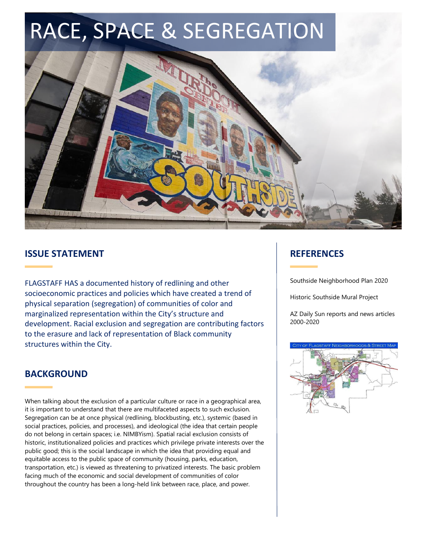# RACE, SPACE & SEGREGATION



## **ISSUE STATEMENT**

FLAGSTAFF HAS a documented history of redlining and other socioeconomic practices and policies which have created a trend of physical separation (segregation) of communities of color and marginalized representation within the City's structure and development. Racial exclusion and segregation are contributing factors to the erasure and lack of representation of Black community structures within the City.

## **BACKGROUND**

When talking about the exclusion of a particular culture or race in a geographical area, it is important to understand that there are multifaceted aspects to such exclusion. Segregation can be at once physical (redlining, blockbusting, etc.), systemic (based in social practices, policies, and processes), and ideological (the idea that certain people do not belong in certain spaces; i.e. NIMBYism). Spatial racial exclusion consists of historic, institutionalized policies and practices which privilege private interests over the public good; this is the social landscape in which the idea that providing equal and equitable access to the public space of community (housing, parks, education, transportation, etc.) is viewed as threatening to privatized interests. The basic problem facing much of the economic and social development of communities of color throughout the country has been a long-held link between race, place, and power.

## **REFERENCES**

Southside Neighborhood Plan 2020

Historic Southside Mural Project

AZ Daily Sun reports and news articles 2000-2020

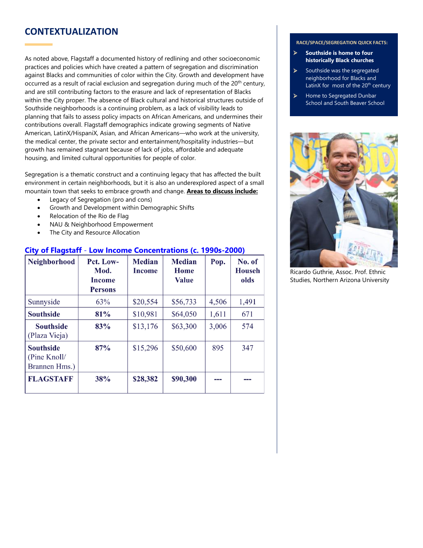## **CONTEXTUALIZATION**

As noted above, Flagstaff a documented history of redlining and other socioeconomic practices and policies which have created a pattern of segregation and discrimination against Blacks and communities of color within the City. Growth and development have occurred as a result of racial exclusion and segregation during much of the 20<sup>th</sup> century, and are still contributing factors to the erasure and lack of representation of Blacks within the City proper. The absence of Black cultural and historical structures outside of Southside neighborhoods is a continuing problem, as a lack of visibility leads to planning that fails to assess policy impacts on African Americans, and undermines their contributions overall. Flagstaff demographics indicate growing segments of Native American, LatinX/HispaniX, Asian, and African Americans—who work at the university, the medical center, the private sector and entertainment/hospitality industries—but growth has remained stagnant because of lack of jobs, affordable and adequate housing, and limited cultural opportunities for people of color.

Segregation is a thematic construct and a continuing legacy that has affected the built environment in certain neighborhoods, but it is also an underexplored aspect of a small mountain town that seeks to embrace growth and change. **Areas to discuss include:**

- Legacy of Segregation (pro and cons)
- Growth and Development within Demographic Shifts
- Relocation of the Rio de Flag
- NAU & Neighborhood Empowerment
- The City and Resource Allocation

### **City of Flagstaff** - **Low Income Concentrations (c. 1990s-2000)**

| <b>Neighborhood</b>                               | Pct. Low-<br>Mod.<br><b>Income</b><br><b>Persons</b> | <b>Median</b><br><b>Income</b> | <b>Median</b><br>Home<br><b>Value</b> | Pop.  | No. of<br><b>Househ</b><br>olds |
|---------------------------------------------------|------------------------------------------------------|--------------------------------|---------------------------------------|-------|---------------------------------|
| Sunnyside                                         | 63%                                                  | \$20,554                       | \$56,733                              | 4,506 | 1,491                           |
| <b>Southside</b>                                  | 81%                                                  | \$10,981                       | \$64,050                              | 1,611 | 671                             |
| <b>Southside</b><br>(Plaza Vieja)                 | 83%                                                  | \$13,176                       | \$63,300                              | 3,006 | 574                             |
| <b>Southside</b><br>(Pine Knoll/<br>Brannen Hms.) | 87%                                                  | \$15,296                       | \$50,600                              | 895   | 347                             |
| <b>FLAGSTAFF</b>                                  | 38%                                                  | \$28,382                       | \$90,300                              |       |                                 |

#### **RACE/SPACE/SEGREGATION QUICK FACTS:**

- ➢ **Southside is home to four historically Black churches**
- Southside was the segregated neighborhood for Blacks and LatinX for most of the  $20<sup>th</sup>$  century
- Home to Segregated Dunbar School and South Beaver School



Ricardo Guthrie, Assoc. Prof. Ethnic Studies, Northern Arizona University